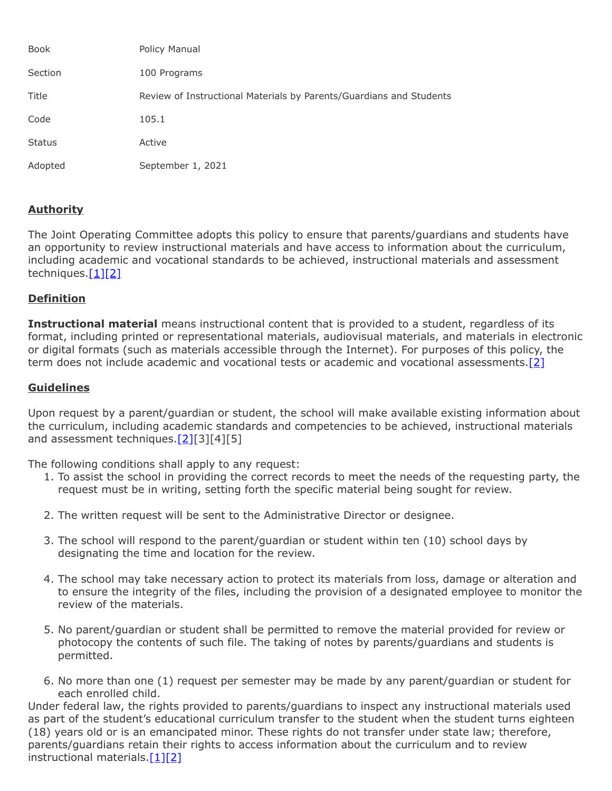| <b>Book</b>   | Policy Manual                                                       |
|---------------|---------------------------------------------------------------------|
| Section       | 100 Programs                                                        |
| Title         | Review of Instructional Materials by Parents/Guardians and Students |
| Code          | 105.1                                                               |
| <b>Status</b> | Active                                                              |
| Adopted       | September 1, 2021                                                   |

## **Authority**

The Joint Operating Committee adopts this policy to ensure that parents/guardians and students have an opportunity to review instructional materials and have access to information about the curriculum, including academic and vocational standards to be achieved, instructional materials and assessment techniques. $[1][2]$  $[1][2]$ 

## **Definition**

**Instructional material** means instructional content that is provided to a student, regardless of its format, including printed or representational materials, audiovisual materials, and materials in electronic or digital formats (such as materials accessible through the Internet). For purposes of this policy, the term does not include academic and vocational tests or academic and vocational assessments. $[2]$ 

## **Guidelines**

Upon request by a parent/guardian or student, the school will make available existing information about the curriculum, including academic standards and competencies to be achieved, instructional materials and assessment techniques.<sup>[2][3][4][5]</sup>

The following conditions shall apply to any request:

- 1. To assist the school in providing the correct records to meet the needs of the requesting party, the request must be in writing, setting forth the specific material being sought for review.
- 2. The written request will be sent to the Administrative Director or designee.
- 3. The school will respond to the parent/guardian or student within ten (10) school days by designating the time and location for the review.
- 4. The school may take necessary action to protect its materials from loss, damage or alteration and to ensure the integrity of the files, including the provision of a designated employee to monitor the review of the materials.
- 5. No parent/guardian or student shall be permitted to remove the material provided for review or photocopy the contents of such file. The taking of notes by parents/guardians and students is permitted.
- 6. No more than one (1) request per semester may be made by any parent/guardian or student for each enrolled child.

Under federal law, the rights provided to parents/guardians to inspect any instructional materials used as part of the student's educational curriculum transfer to the student when the student turns eighteen (18) years old or is an emancipated minor. These rights do not transfer under state law; therefore, parents/guardians retain their rights to access information about the curriculum and to review instructional materials. $[1][2]$  $[1][2]$